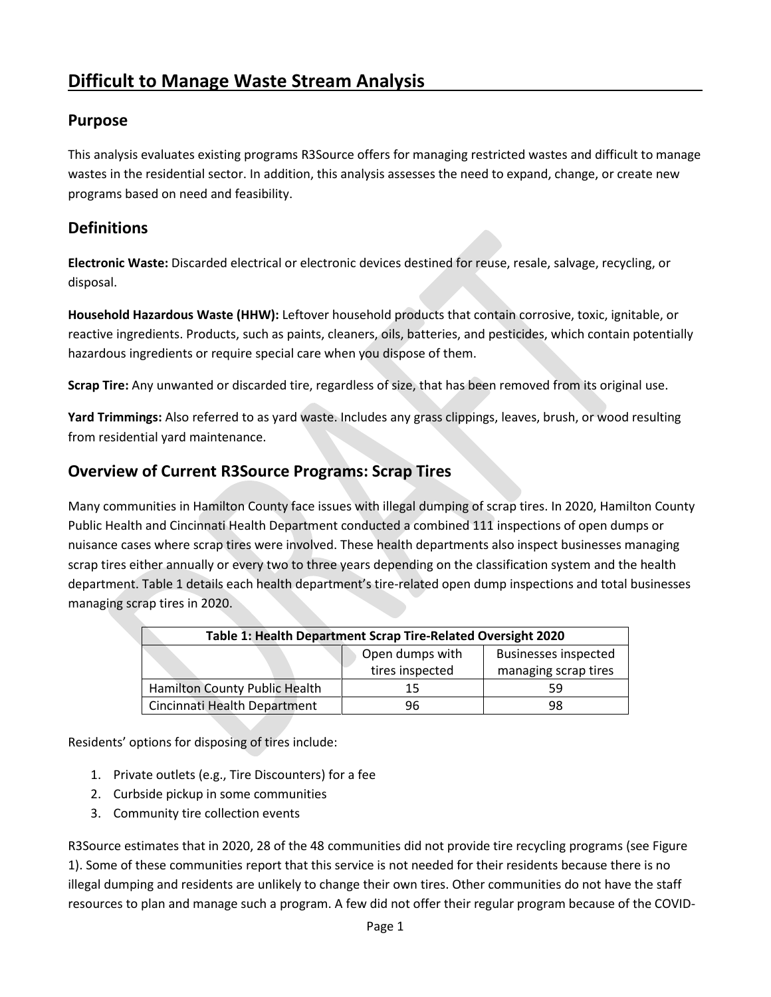## **Purpose**

This analysis evaluates existing programs R3Source offers for managing restricted wastes and difficult to manage wastes in the residential sector. In addition, this analysis assesses the need to expand, change, or create new programs based on need and feasibility.

## **Definitions**

**Electronic Waste:** Discarded electrical or electronic devices destined for reuse, resale, salvage, recycling, or disposal.

**Household Hazardous Waste (HHW):** Leftover household products that contain corrosive, toxic, ignitable, or reactive ingredients. Products, such as paints, cleaners, oils, batteries, and pesticides, which contain potentially hazardous ingredients or require special care when you dispose of them.

**Scrap Tire:** Any unwanted or discarded tire, regardless of size, that has been removed from its original use.

**Yard Trimmings:** Also referred to as yard waste. Includes any grass clippings, leaves, brush, or wood resulting from residential yard maintenance.

## **Overview of Current R3Source Programs: Scrap Tires**

Many communities in Hamilton County face issues with illegal dumping of scrap tires. In 2020, Hamilton County Public Health and Cincinnati Health Department conducted a combined 111 inspections of open dumps or nuisance cases where scrap tires were involved. These health departments also inspect businesses managing scrap tires either annually or every two to three years depending on the classification system and the health department. Table 1 details each health department's tire-related open dump inspections and total businesses managing scrap tires in 2020.

| Table 1: Health Department Scrap Tire-Related Oversight 2020 |                 |                             |  |  |
|--------------------------------------------------------------|-----------------|-----------------------------|--|--|
|                                                              | Open dumps with | <b>Businesses inspected</b> |  |  |
|                                                              | tires inspected | managing scrap tires        |  |  |
| <b>Hamilton County Public Health</b>                         | 15              | 59                          |  |  |
| Cincinnati Health Department                                 | 96              | 98                          |  |  |

Residents' options for disposing of tires include:

- 1. Private outlets (e.g., Tire Discounters) for a fee
- 2. Curbside pickup in some communities
- 3. Community tire collection events

R3Source estimates that in 2020, 28 of the 48 communities did not provide tire recycling programs (see Figure 1). Some of these communities report that this service is not needed for their residents because there is no illegal dumping and residents are unlikely to change their own tires. Other communities do not have the staff resources to plan and manage such a program. A few did not offer their regular program because of the COVID-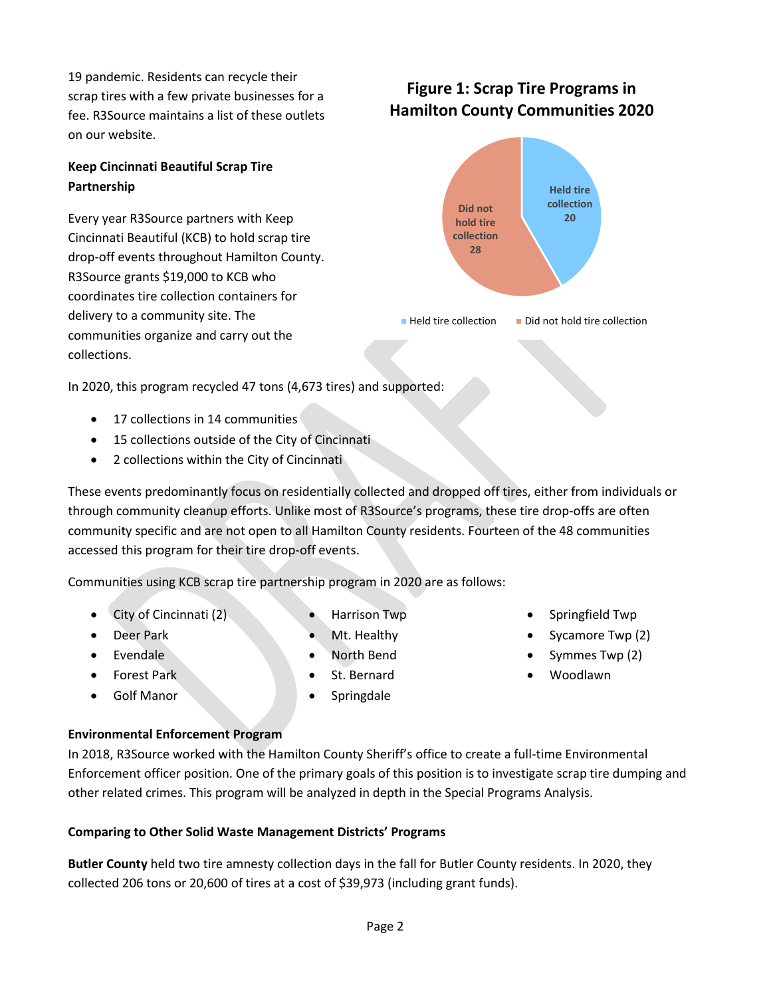19 pandemic. Residents can recycle their scrap tires with a few private businesses for a fee. R3Source maintains a list of these outlets on our website.

## **Keep Cincinnati Beautiful Scrap Tire Partnership**

Every year R3Source partners with Keep Cincinnati Beautiful (KCB) to hold scrap tire drop-off events throughout Hamilton County. R3Source grants \$19,000 to KCB who coordinates tire collection containers for delivery to a community site. The communities organize and carry out the collections.

**28**

 $\blacksquare$  Held tire collection  $\blacksquare$  Did not hold tire collection

**Held tire collection 20**

**Figure 1: Scrap Tire Programs in Hamilton County Communities 2020**

> **Did not hold tire collection**

In 2020, this program recycled 47 tons (4,673 tires) and supported:

- 17 collections in 14 communities
- 15 collections outside of the City of Cincinnati
- 2 collections within the City of Cincinnati

These events predominantly focus on residentially collected and dropped off tires, either from individuals or through community cleanup efforts. Unlike most of R3Source's programs, these tire drop-offs are often community specific and are not open to all Hamilton County residents. Fourteen of the 48 communities accessed this program for their tire drop-off events.

Communities using KCB scrap tire partnership program in 2020 are as follows:

- City of Cincinnati (2)
- Deer Park
- Evendale
- Forest Park
- Golf Manor
- Harrison Twp
- Mt. Healthy
- North Bend
- St. Bernard
- Springdale
- Springfield Twp
- Sycamore Twp (2)
- Symmes Twp (2)
- Woodlawn

#### **Environmental Enforcement Program**

In 2018, R3Source worked with the Hamilton County Sheriff's office to create a full-time Environmental Enforcement officer position. One of the primary goals of this position is to investigate scrap tire dumping and other related crimes. This program will be analyzed in depth in the Special Programs Analysis.

#### **Comparing to Other Solid Waste Management Districts' Programs**

**Butler County** held two tire amnesty collection days in the fall for Butler County residents. In 2020, they collected 206 tons or 20,600 of tires at a cost of \$39,973 (including grant funds).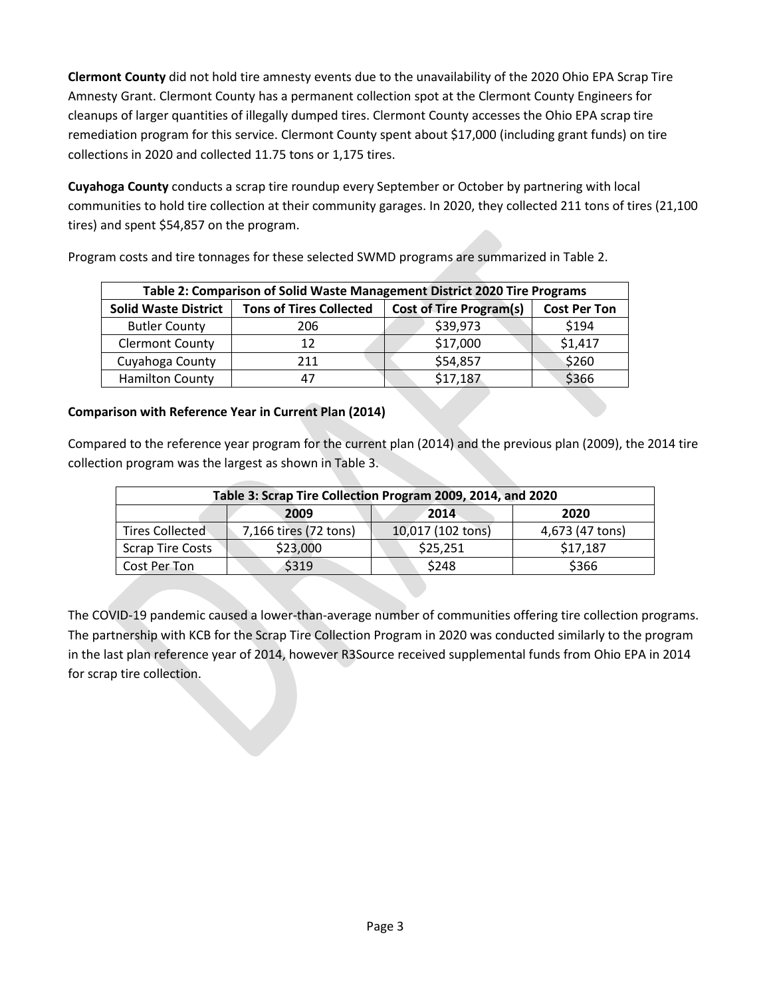**Clermont County** did not hold tire amnesty events due to the unavailability of the 2020 Ohio EPA Scrap Tire Amnesty Grant. Clermont County has a permanent collection spot at the Clermont County Engineers for cleanups of larger quantities of illegally dumped tires. Clermont County accesses the Ohio EPA scrap tire remediation program for this service. Clermont County spent about \$17,000 (including grant funds) on tire collections in 2020 and collected 11.75 tons or 1,175 tires.

**Cuyahoga County** conducts a scrap tire roundup every September or October by partnering with local communities to hold tire collection at their community garages. In 2020, they collected 211 tons of tires (21,100 tires) and spent \$54,857 on the program.

|                             | Table 2: Comparison of Solid Waste Management District 2020 Tire Programs |                                |                     |  |  |
|-----------------------------|---------------------------------------------------------------------------|--------------------------------|---------------------|--|--|
| <b>Solid Waste District</b> | <b>Tons of Tires Collected</b>                                            | <b>Cost of Tire Program(s)</b> | <b>Cost Per Ton</b> |  |  |
| <b>Butler County</b>        | 206                                                                       | \$39,973                       | \$194               |  |  |
| <b>Clermont County</b>      | 12                                                                        | \$17,000                       | \$1,417             |  |  |
| Cuyahoga County             | 211                                                                       | \$54,857                       | \$260               |  |  |
| <b>Hamilton County</b>      |                                                                           | \$17,187                       | \$366               |  |  |

Program costs and tire tonnages for these selected SWMD programs are summarized in Table 2.

## **Comparison with Reference Year in Current Plan (2014)**

Compared to the reference year program for the current plan (2014) and the previous plan (2009), the 2014 tire collection program was the largest as shown in Table 3.

| Table 3: Scrap Tire Collection Program 2009, 2014, and 2020 |                       |                   |                 |  |
|-------------------------------------------------------------|-----------------------|-------------------|-----------------|--|
|                                                             | 2009                  | 2014              | 2020            |  |
| <b>Tires Collected</b>                                      | 7,166 tires (72 tons) | 10,017 (102 tons) | 4,673 (47 tons) |  |
| <b>Scrap Tire Costs</b>                                     | \$23,000              | \$25,251          | \$17,187        |  |
| Cost Per Ton                                                | \$319                 | \$248             | \$366           |  |

The COVID-19 pandemic caused a lower-than-average number of communities offering tire collection programs. The partnership with KCB for the Scrap Tire Collection Program in 2020 was conducted similarly to the program in the last plan reference year of 2014, however R3Source received supplemental funds from Ohio EPA in 2014 for scrap tire collection.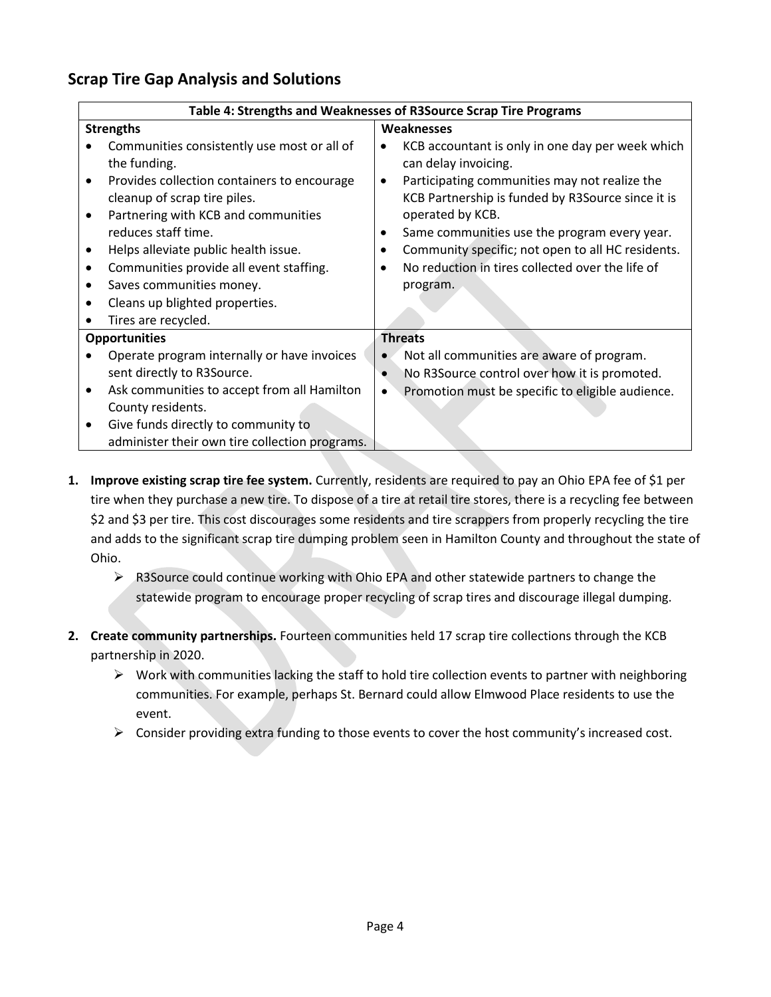## **Scrap Tire Gap Analysis and Solutions**

|                                                                                                                                              | Table 4: Strengths and Weaknesses of R3Source Scrap Tire Programs                                                                   |
|----------------------------------------------------------------------------------------------------------------------------------------------|-------------------------------------------------------------------------------------------------------------------------------------|
| <b>Strengths</b>                                                                                                                             | <b>Weaknesses</b>                                                                                                                   |
| Communities consistently use most or all of<br>the funding.                                                                                  | KCB accountant is only in one day per week which<br>٠<br>can delay invoicing.                                                       |
| Provides collection containers to encourage<br>$\bullet$<br>cleanup of scrap tire piles.<br>Partnering with KCB and communities<br>$\bullet$ | Participating communities may not realize the<br>$\bullet$<br>KCB Partnership is funded by R3Source since it is<br>operated by KCB. |
| reduces staff time.                                                                                                                          | Same communities use the program every year.<br>٠                                                                                   |
| Helps alleviate public health issue.<br>٠                                                                                                    | Community specific; not open to all HC residents.                                                                                   |
| Communities provide all event staffing.<br>$\bullet$                                                                                         | No reduction in tires collected over the life of                                                                                    |
| Saves communities money.<br>$\bullet$                                                                                                        | program.                                                                                                                            |
| Cleans up blighted properties.<br>$\bullet$                                                                                                  |                                                                                                                                     |
| Tires are recycled.<br>$\bullet$                                                                                                             |                                                                                                                                     |
| <b>Opportunities</b>                                                                                                                         | <b>Threats</b>                                                                                                                      |
| Operate program internally or have invoices                                                                                                  | Not all communities are aware of program.                                                                                           |
| sent directly to R3Source.                                                                                                                   | No R3Source control over how it is promoted.                                                                                        |
| Ask communities to accept from all Hamilton<br>$\bullet$                                                                                     | Promotion must be specific to eligible audience.<br>$\bullet$                                                                       |
| County residents.                                                                                                                            |                                                                                                                                     |
| Give funds directly to community to<br>$\bullet$                                                                                             |                                                                                                                                     |
| administer their own tire collection programs.                                                                                               |                                                                                                                                     |

- **1. Improve existing scrap tire fee system.** Currently, residents are required to pay an Ohio EPA fee of \$1 per tire when they purchase a new tire. To dispose of a tire at retail tire stores, there is a recycling fee between \$2 and \$3 per tire. This cost discourages some residents and tire scrappers from properly recycling the tire and adds to the significant scrap tire dumping problem seen in Hamilton County and throughout the state of Ohio.
	- ➢ R3Source could continue working with Ohio EPA and other statewide partners to change the statewide program to encourage proper recycling of scrap tires and discourage illegal dumping.
- **2. Create community partnerships.** Fourteen communities held 17 scrap tire collections through the KCB partnership in 2020.
	- $\triangleright$  Work with communities lacking the staff to hold tire collection events to partner with neighboring communities. For example, perhaps St. Bernard could allow Elmwood Place residents to use the event.
	- $\triangleright$  Consider providing extra funding to those events to cover the host community's increased cost.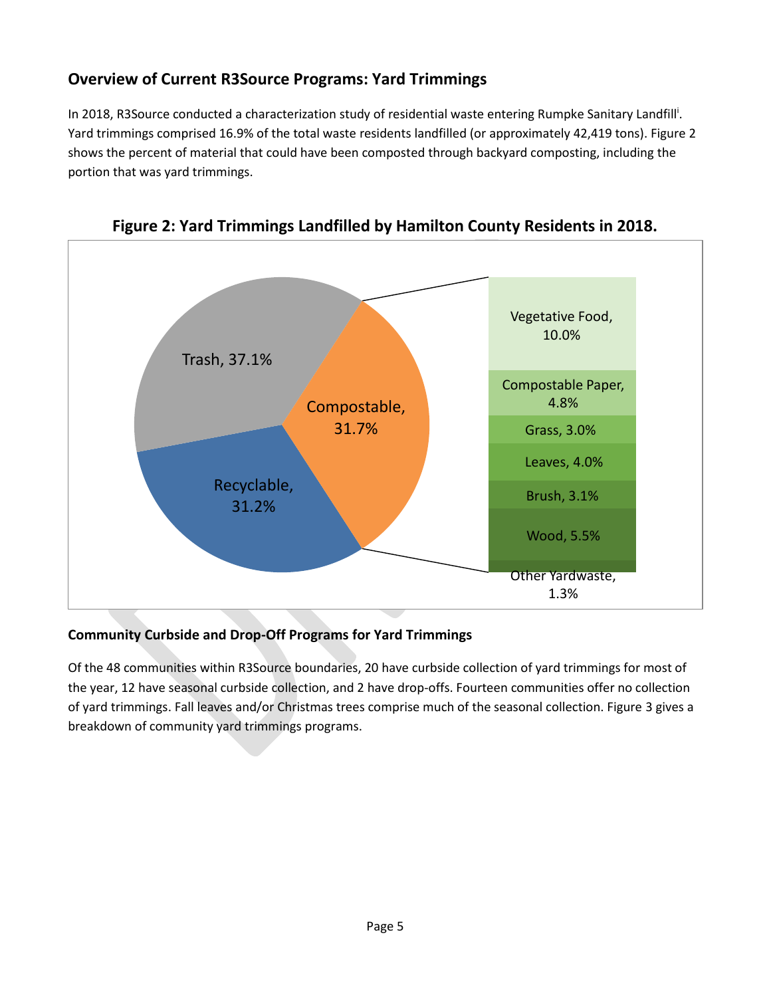# **Overview of Current R3Source Programs: Yard Trimmings**

In 2018, R3Source conducted a characterization study of residential waste entering Rumpke Sanitary Landfill<sup>i</sup>. Yard trimmings comprised 16.9% of the total waste residents landfilled (or approximately 42,419 tons). Figure 2 shows the percent of material that could have been composted through backyard composting, including the portion that was yard trimmings.



**Figure 2: Yard Trimmings Landfilled by Hamilton County Residents in 2018.**

## **Community Curbside and Drop-Off Programs for Yard Trimmings**

Of the 48 communities within R3Source boundaries, 20 have curbside collection of yard trimmings for most of the year, 12 have seasonal curbside collection, and 2 have drop-offs. Fourteen communities offer no collection of yard trimmings. Fall leaves and/or Christmas trees comprise much of the seasonal collection. Figure 3 gives a breakdown of community yard trimmings programs.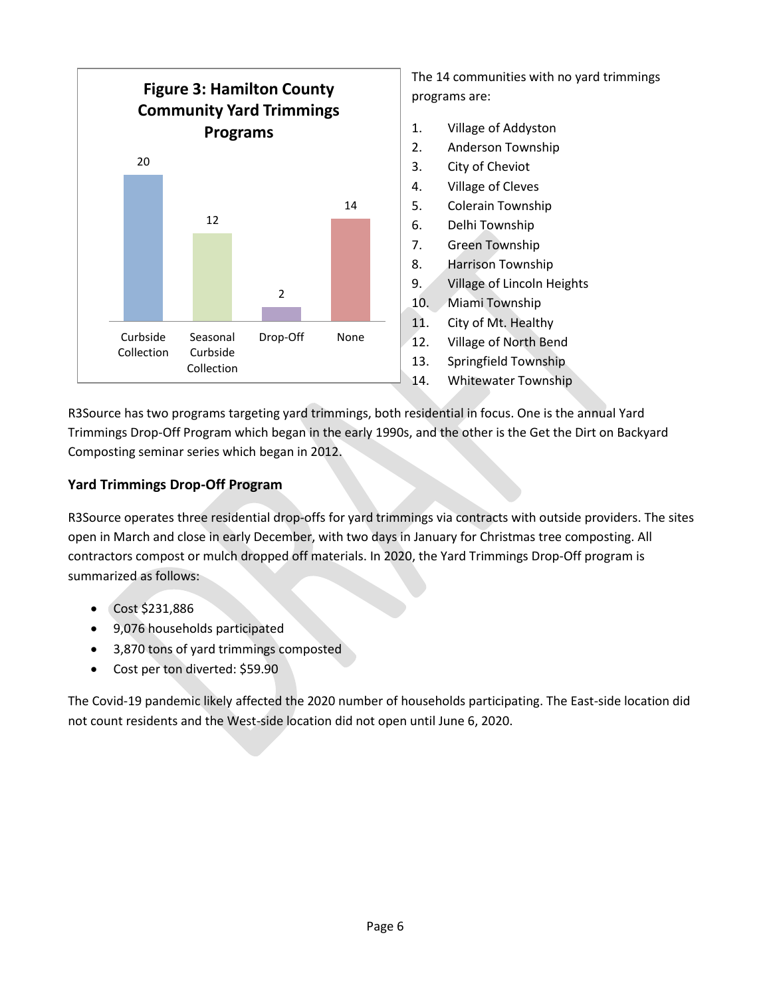

The 14 communities with no yard trimmings programs are:

- 1. Village of Addyston
- 2. Anderson Township
- 3. City of Cheviot
- 4. Village of Cleves
- 5. Colerain Township
- 6. Delhi Township
- 7. Green Township
- 8. Harrison Township
- 9. Village of Lincoln Heights
- 10. Miami Township
- 11. City of Mt. Healthy
- 12. Village of North Bend
- 13. Springfield Township
- 14. Whitewater Township

R3Source has two programs targeting yard trimmings, both residential in focus. One is the annual Yard Trimmings Drop-Off Program which began in the early 1990s, and the other is the Get the Dirt on Backyard Composting seminar series which began in 2012.

#### **Yard Trimmings Drop-Off Program**

R3Source operates three residential drop-offs for yard trimmings via contracts with outside providers. The sites open in March and close in early December, with two days in January for Christmas tree composting. All contractors compost or mulch dropped off materials. In 2020, the Yard Trimmings Drop-Off program is summarized as follows:

- Cost \$231,886
- 9,076 households participated
- 3,870 tons of yard trimmings composted
- Cost per ton diverted: \$59.90

The Covid-19 pandemic likely affected the 2020 number of households participating. The East-side location did not count residents and the West-side location did not open until June 6, 2020.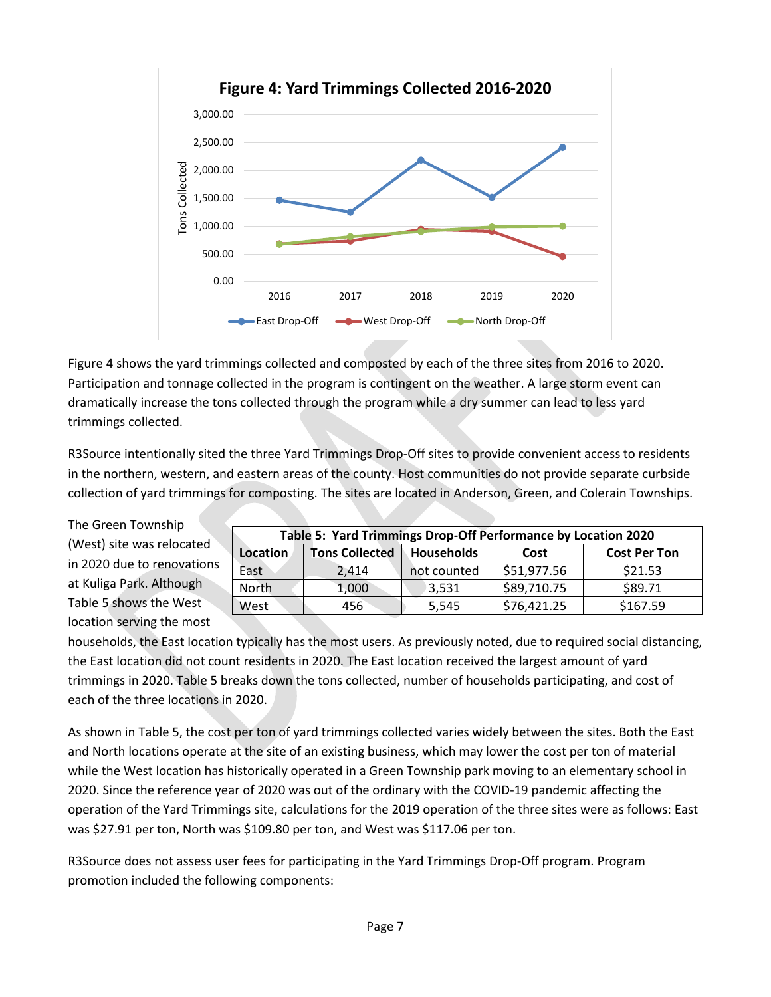

Figure 4 shows the yard trimmings collected and composted by each of the three sites from 2016 to 2020. Participation and tonnage collected in the program is contingent on the weather. A large storm event can dramatically increase the tons collected through the program while a dry summer can lead to less yard trimmings collected.

R3Source intentionally sited the three Yard Trimmings Drop-Off sites to provide convenient access to residents in the northern, western, and eastern areas of the county. Host communities do not provide separate curbside collection of yard trimmings for composting. The sites are located in Anderson, Green, and Colerain Townships.

The Green Township (West) site was relocated in 2020 due to renovations at Kuliga Park. Although Table 5 shows the West location serving the most

| Table 5: Yard Trimmings Drop-Off Performance by Location 2020 |                       |                   |             |                     |  |
|---------------------------------------------------------------|-----------------------|-------------------|-------------|---------------------|--|
| Location                                                      | <b>Tons Collected</b> | <b>Households</b> | Cost        | <b>Cost Per Ton</b> |  |
| East                                                          | 2.414                 | not counted       | \$51,977.56 | \$21.53             |  |
| North                                                         | 1,000                 | 3,531             | \$89,710.75 | \$89.71             |  |
| West                                                          | 456                   | 5,545             | \$76,421.25 | \$167.59            |  |

households, the East location typically has the most users. As previously noted, due to required social distancing, the East location did not count residents in 2020. The East location received the largest amount of yard trimmings in 2020. Table 5 breaks down the tons collected, number of households participating, and cost of each of the three locations in 2020.

As shown in Table 5, the cost per ton of yard trimmings collected varies widely between the sites. Both the East and North locations operate at the site of an existing business, which may lower the cost per ton of material while the West location has historically operated in a Green Township park moving to an elementary school in 2020. Since the reference year of 2020 was out of the ordinary with the COVID-19 pandemic affecting the operation of the Yard Trimmings site, calculations for the 2019 operation of the three sites were as follows: East was \$27.91 per ton, North was \$109.80 per ton, and West was \$117.06 per ton.

R3Source does not assess user fees for participating in the Yard Trimmings Drop-Off program. Program promotion included the following components: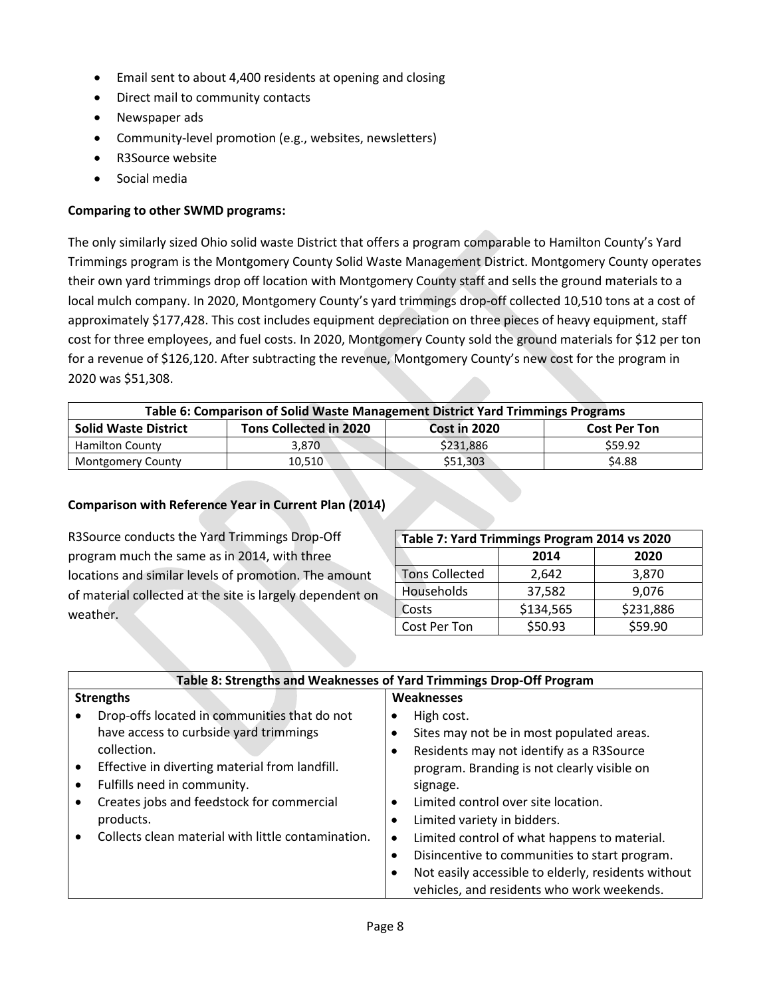- Email sent to about 4,400 residents at opening and closing
- Direct mail to community contacts
- Newspaper ads
- Community-level promotion (e.g., websites, newsletters)
- R3Source website
- Social media

#### **Comparing to other SWMD programs:**

The only similarly sized Ohio solid waste District that offers a program comparable to Hamilton County's Yard Trimmings program is the Montgomery County Solid Waste Management District. Montgomery County operates their own yard trimmings drop off location with Montgomery County staff and sells the ground materials to a local mulch company. In 2020, Montgomery County's yard trimmings drop-off collected 10,510 tons at a cost of approximately \$177,428. This cost includes equipment depreciation on three pieces of heavy equipment, staff cost for three employees, and fuel costs. In 2020, Montgomery County sold the ground materials for \$12 per ton for a revenue of \$126,120. After subtracting the revenue, Montgomery County's new cost for the program in 2020 was \$51,308.

| Table 6: Comparison of Solid Waste Management District Yard Trimmings Programs                      |        |           |         |  |
|-----------------------------------------------------------------------------------------------------|--------|-----------|---------|--|
| <b>Tons Collected in 2020</b><br><b>Solid Waste District</b><br>Cost in 2020<br><b>Cost Per Ton</b> |        |           |         |  |
| <b>Hamilton County</b>                                                                              | 3.870  | \$231,886 | \$59.92 |  |
| <b>Montgomery County</b>                                                                            | 10.510 | \$51,303  | \$4.88  |  |

#### **Comparison with Reference Year in Current Plan (2014)**

R3Source conducts the Yard Trimmings Drop-Off program much the same as in 2014, with three locations and similar levels of promotion. The amount of material collected at the site is largely dependent on weather.

| Table 7: Yard Trimmings Program 2014 vs 2020 |              |           |  |  |  |
|----------------------------------------------|--------------|-----------|--|--|--|
|                                              | 2014<br>2020 |           |  |  |  |
| <b>Tons Collected</b>                        | 2,642        | 3,870     |  |  |  |
| Households                                   | 37,582       | 9,076     |  |  |  |
| Costs                                        | \$134,565    | \$231,886 |  |  |  |
| Cost Per Ton                                 | \$50.93      | \$59.90   |  |  |  |

| Table 8: Strengths and Weaknesses of Yard Trimmings Drop-Off Program |                                                     |  |  |  |
|----------------------------------------------------------------------|-----------------------------------------------------|--|--|--|
| <b>Strengths</b>                                                     | <b>Weaknesses</b>                                   |  |  |  |
| Drop-offs located in communities that do not                         | High cost.                                          |  |  |  |
| have access to curbside yard trimmings                               | Sites may not be in most populated areas.           |  |  |  |
| collection.                                                          | Residents may not identify as a R3Source            |  |  |  |
| Effective in diverting material from landfill.                       | program. Branding is not clearly visible on         |  |  |  |
| Fulfills need in community.                                          | signage.                                            |  |  |  |
| Creates jobs and feedstock for commercial                            | Limited control over site location.<br>$\bullet$    |  |  |  |
| products.                                                            | Limited variety in bidders.<br>٠                    |  |  |  |
| Collects clean material with little contamination.                   | Limited control of what happens to material.<br>٠   |  |  |  |
|                                                                      | Disincentive to communities to start program.<br>٠  |  |  |  |
|                                                                      | Not easily accessible to elderly, residents without |  |  |  |
|                                                                      | vehicles, and residents who work weekends.          |  |  |  |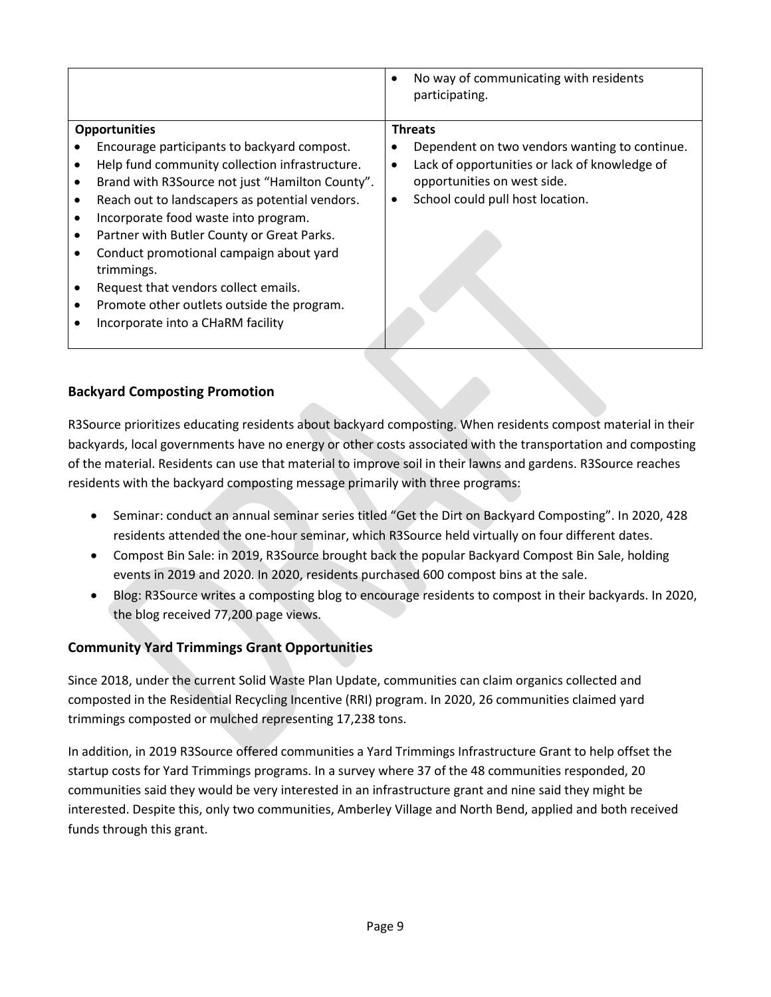|                                                                                                                                                                                                                                                                                                                                                                                                                                                                                                     | No way of communicating with residents<br>$\bullet$<br>participating.                                                                                                               |
|-----------------------------------------------------------------------------------------------------------------------------------------------------------------------------------------------------------------------------------------------------------------------------------------------------------------------------------------------------------------------------------------------------------------------------------------------------------------------------------------------------|-------------------------------------------------------------------------------------------------------------------------------------------------------------------------------------|
| <b>Opportunities</b>                                                                                                                                                                                                                                                                                                                                                                                                                                                                                | <b>Threats</b>                                                                                                                                                                      |
| Encourage participants to backyard compost.<br>Help fund community collection infrastructure.<br>Brand with R3Source not just "Hamilton County".<br>$\bullet$<br>Reach out to landscapers as potential vendors.<br>٠<br>Incorporate food waste into program.<br>Partner with Butler County or Great Parks.<br>Conduct promotional campaign about yard<br>trimmings.<br>Request that vendors collect emails.<br>Promote other outlets outside the program.<br>٠<br>Incorporate into a CHaRM facility | Dependent on two vendors wanting to continue.<br>Lack of opportunities or lack of knowledge of<br>٠<br>opportunities on west side.<br>School could pull host location.<br>$\bullet$ |

## **Backyard Composting Promotion**

R3Source prioritizes educating residents about backyard composting. When residents compost material in their backyards, local governments have no energy or other costs associated with the transportation and composting of the material. Residents can use that material to improve soil in their lawns and gardens. R3Source reaches residents with the backyard composting message primarily with three programs:

- Seminar: conduct an annual seminar series titled "Get the Dirt on Backyard Composting". In 2020, 428 residents attended the one-hour seminar, which R3Source held virtually on four different dates.
- Compost Bin Sale: in 2019, R3Source brought back the popular Backyard Compost Bin Sale, holding events in 2019 and 2020. In 2020, residents purchased 600 compost bins at the sale.
- Blog: R3Source writes a composting blog to encourage residents to compost in their backyards. In 2020, the blog received 77,200 page views.

## **Community Yard Trimmings Grant Opportunities**

Since 2018, under the current Solid Waste Plan Update, communities can claim organics collected and composted in the Residential Recycling Incentive (RRI) program. In 2020, 26 communities claimed yard trimmings composted or mulched representing 17,238 tons.

In addition, in 2019 R3Source offered communities a Yard Trimmings Infrastructure Grant to help offset the startup costs for Yard Trimmings programs. In a survey where 37 of the 48 communities responded, 20 communities said they would be very interested in an infrastructure grant and nine said they might be interested. Despite this, only two communities, Amberley Village and North Bend, applied and both received funds through this grant.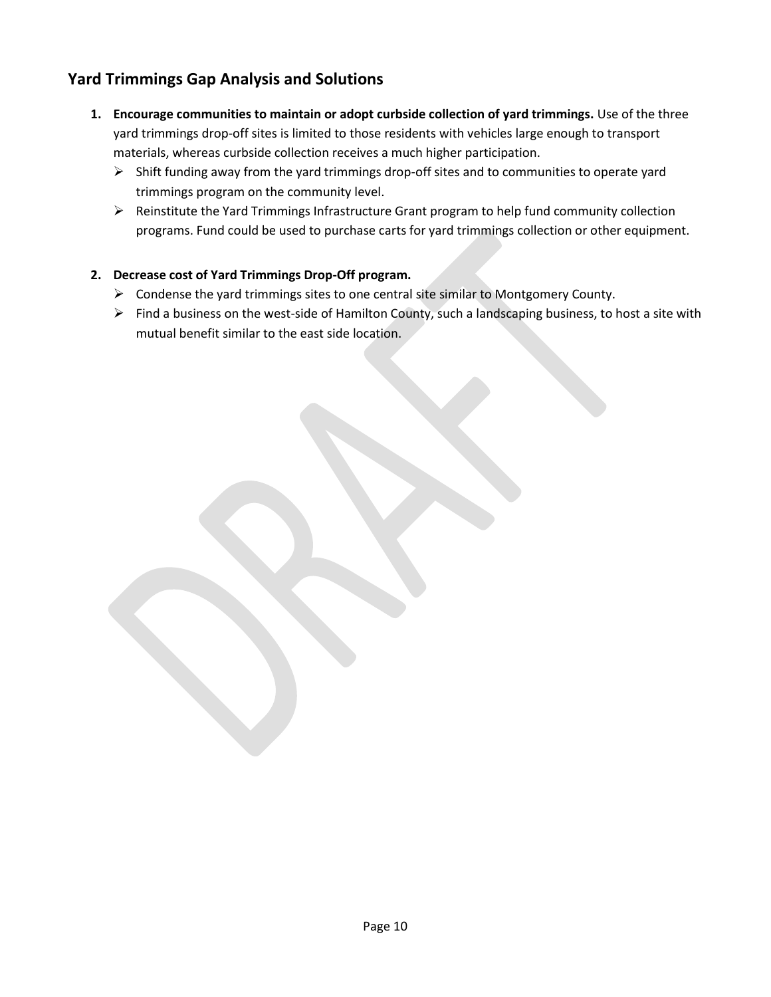## **Yard Trimmings Gap Analysis and Solutions**

- **1. Encourage communities to maintain or adopt curbside collection of yard trimmings.** Use of the three yard trimmings drop-off sites is limited to those residents with vehicles large enough to transport materials, whereas curbside collection receives a much higher participation.
	- $\triangleright$  Shift funding away from the yard trimmings drop-off sites and to communities to operate yard trimmings program on the community level.
	- ➢ Reinstitute the Yard Trimmings Infrastructure Grant program to help fund community collection programs. Fund could be used to purchase carts for yard trimmings collection or other equipment.

#### **2. Decrease cost of Yard Trimmings Drop-Off program.**

- ➢ Condense the yard trimmings sites to one central site similar to Montgomery County.
- ➢ Find a business on the west-side of Hamilton County, such a landscaping business, to host a site with mutual benefit similar to the east side location.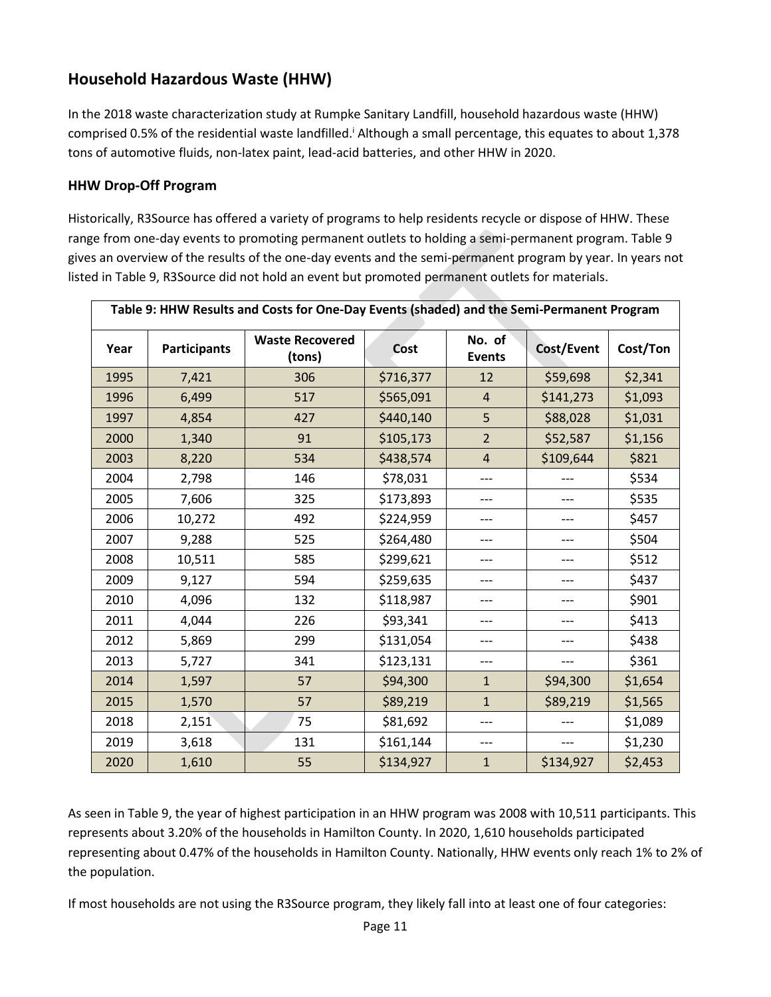# **Household Hazardous Waste (HHW)**

In the 2018 waste characterization study at Rumpke Sanitary Landfill, household hazardous waste (HHW) comprised 0.5% of the residential waste landfilled.<sup>i</sup> Although a small percentage, this equates to about 1,378 tons of automotive fluids, non-latex paint, lead-acid batteries, and other HHW in 2020.

#### **HHW Drop-Off Program**

Historically, R3Source has offered a variety of programs to help residents recycle or dispose of HHW. These range from one-day events to promoting permanent outlets to holding a semi-permanent program. Table 9 gives an overview of the results of the one-day events and the semi-permanent program by year. In years not listed in Table 9, R3Source did not hold an event but promoted permanent outlets for materials.

| Table 9: HHW Results and Costs for One-Day Events (shaded) and the Semi-Permanent Program |                     |                                  |           |                         |            |          |
|-------------------------------------------------------------------------------------------|---------------------|----------------------------------|-----------|-------------------------|------------|----------|
| Year                                                                                      | <b>Participants</b> | <b>Waste Recovered</b><br>(tons) | Cost      | No. of<br><b>Events</b> | Cost/Event | Cost/Ton |
| 1995                                                                                      | 7,421               | 306                              | \$716,377 | 12                      | \$59,698   | \$2,341  |
| 1996                                                                                      | 6,499               | 517                              | \$565,091 | $\overline{4}$          | \$141,273  | \$1,093  |
| 1997                                                                                      | 4,854               | 427                              | \$440,140 | 5                       | \$88,028   | \$1,031  |
| 2000                                                                                      | 1,340               | 91                               | \$105,173 | $\overline{2}$          | \$52,587   | \$1,156  |
| 2003                                                                                      | 8,220               | 534                              | \$438,574 | $\overline{4}$          | \$109,644  | \$821    |
| 2004                                                                                      | 2,798               | 146                              | \$78,031  | ---                     | ---        | \$534    |
| 2005                                                                                      | 7,606               | 325                              | \$173,893 | ---                     | ---        | \$535    |
| 2006                                                                                      | 10,272              | 492                              | \$224,959 | ---                     | ---        | \$457    |
| 2007                                                                                      | 9,288               | 525                              | \$264,480 | ---                     | ---        | \$504    |
| 2008                                                                                      | 10,511              | 585                              | \$299,621 | ---                     | ---        | \$512    |
| 2009                                                                                      | 9,127               | 594                              | \$259,635 | ---                     | ---        | \$437    |
| 2010                                                                                      | 4,096               | 132                              | \$118,987 | ---                     | ---        | \$901    |
| 2011                                                                                      | 4,044               | 226                              | \$93,341  | ---                     | ---        | \$413    |
| 2012                                                                                      | 5,869               | 299                              | \$131,054 | ---                     |            | \$438    |
| 2013                                                                                      | 5,727               | 341                              | \$123,131 | ---                     | ---        | \$361    |
| 2014                                                                                      | 1,597               | 57                               | \$94,300  | $\mathbf{1}$            | \$94,300   | \$1,654  |
| 2015                                                                                      | 1,570               | 57                               | \$89,219  | $\mathbf{1}$            | \$89,219   | \$1,565  |
| 2018                                                                                      | 2,151               | 75                               | \$81,692  | ---                     |            | \$1,089  |
| 2019                                                                                      | 3,618               | 131                              | \$161,144 | ---                     | ---        | \$1,230  |
| 2020                                                                                      | 1,610               | 55                               | \$134,927 | $\mathbf{1}$            | \$134,927  | \$2,453  |

As seen in Table 9, the year of highest participation in an HHW program was 2008 with 10,511 participants. This represents about 3.20% of the households in Hamilton County. In 2020, 1,610 households participated representing about 0.47% of the households in Hamilton County. Nationally, HHW events only reach 1% to 2% of the population.

If most households are not using the R3Source program, they likely fall into at least one of four categories: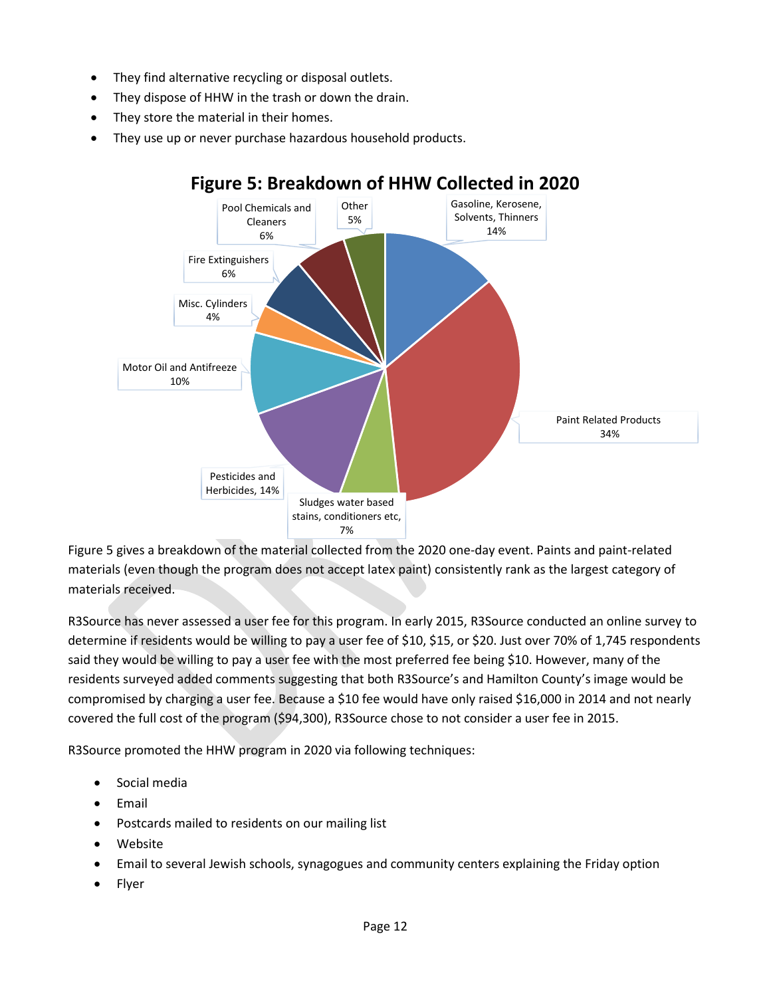- They find alternative recycling or disposal outlets.
- They dispose of HHW in the trash or down the drain.
- They store the material in their homes.
- They use up or never purchase hazardous household products.



# **Figure 5: Breakdown of HHW Collected in 2020**

Figure 5 gives a breakdown of the material collected from the 2020 one-day event. Paints and paint-related materials (even though the program does not accept latex paint) consistently rank as the largest category of materials received.

R3Source has never assessed a user fee for this program. In early 2015, R3Source conducted an online survey to determine if residents would be willing to pay a user fee of \$10, \$15, or \$20. Just over 70% of 1,745 respondents said they would be willing to pay a user fee with the most preferred fee being \$10. However, many of the residents surveyed added comments suggesting that both R3Source's and Hamilton County's image would be compromised by charging a user fee. Because a \$10 fee would have only raised \$16,000 in 2014 and not nearly covered the full cost of the program (\$94,300), R3Source chose to not consider a user fee in 2015.

R3Source promoted the HHW program in 2020 via following techniques:

- Social media
- Email
- Postcards mailed to residents on our mailing list
- Website
- Email to several Jewish schools, synagogues and community centers explaining the Friday option
- Flyer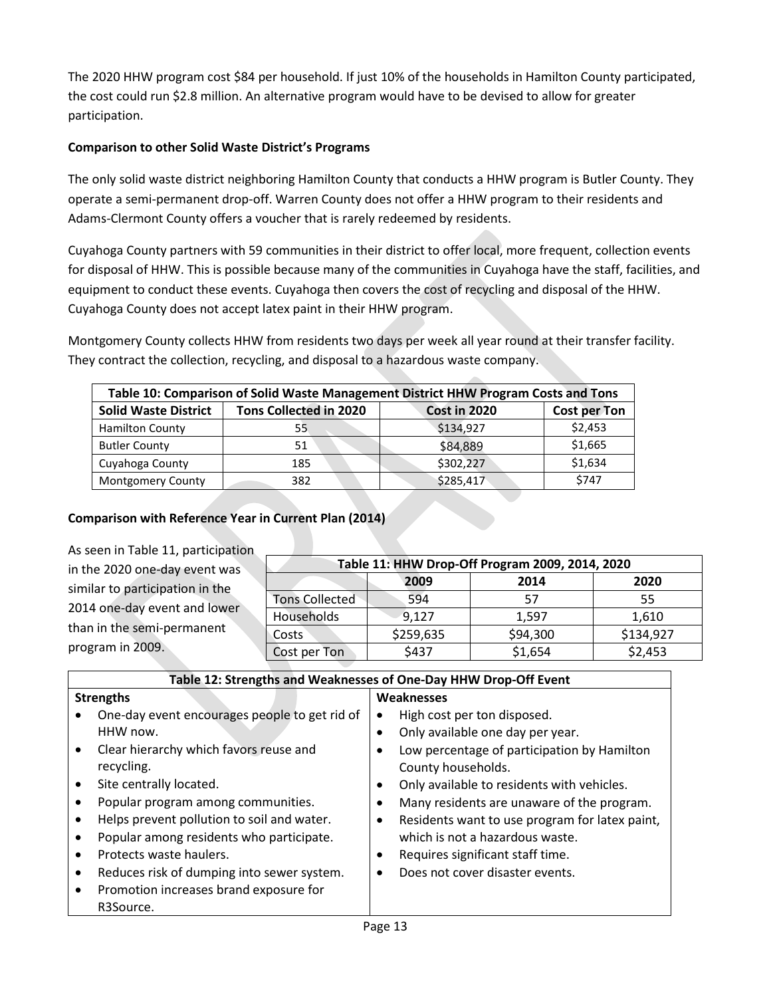The 2020 HHW program cost \$84 per household. If just 10% of the households in Hamilton County participated, the cost could run \$2.8 million. An alternative program would have to be devised to allow for greater participation.

#### **Comparison to other Solid Waste District's Programs**

The only solid waste district neighboring Hamilton County that conducts a HHW program is Butler County. They operate a semi-permanent drop-off. Warren County does not offer a HHW program to their residents and Adams-Clermont County offers a voucher that is rarely redeemed by residents.

Cuyahoga County partners with 59 communities in their district to offer local, more frequent, collection events for disposal of HHW. This is possible because many of the communities in Cuyahoga have the staff, facilities, and equipment to conduct these events. Cuyahoga then covers the cost of recycling and disposal of the HHW. Cuyahoga County does not accept latex paint in their HHW program.

Montgomery County collects HHW from residents two days per week all year round at their transfer facility. They contract the collection, recycling, and disposal to a hazardous waste company.

| Table 10: Comparison of Solid Waste Management District HHW Program Costs and Tons |                               |                     |              |  |
|------------------------------------------------------------------------------------|-------------------------------|---------------------|--------------|--|
| <b>Solid Waste District</b>                                                        | <b>Tons Collected in 2020</b> | <b>Cost in 2020</b> | Cost per Ton |  |
| <b>Hamilton County</b>                                                             | 55                            | \$134,927           | \$2,453      |  |
| <b>Butler County</b>                                                               | 51                            | \$84,889            | \$1,665      |  |
| Cuyahoga County                                                                    | 185                           | \$302,227           | \$1,634      |  |
| <b>Montgomery County</b>                                                           | 382                           | \$285,417           | \$747        |  |

## **Comparison with Reference Year in Current Plan (2014)**

| As seen in Table 11, participation |                       |           |                                                 |           |  |  |
|------------------------------------|-----------------------|-----------|-------------------------------------------------|-----------|--|--|
| in the 2020 one-day event was      |                       |           | Table 11: HHW Drop-Off Program 2009, 2014, 2020 |           |  |  |
| similar to participation in the    |                       | 2009      | 2014                                            | 2020      |  |  |
|                                    | <b>Tons Collected</b> | 594       | 57                                              | 55        |  |  |
| 2014 one-day event and lower       | Households            | 9,127     | 1.597                                           | 1,610     |  |  |
| than in the semi-permanent         | Costs                 | \$259,635 | \$94,300                                        | \$134,927 |  |  |
| program in 2009.                   | Cost per Ton          | \$437     | \$1,654                                         | \$2,453   |  |  |

| Table 12: Strengths and Weaknesses of One-Day HHW Drop-Off Event |                                               |                                                             |  |  |  |
|------------------------------------------------------------------|-----------------------------------------------|-------------------------------------------------------------|--|--|--|
| <b>Strengths</b>                                                 |                                               | Weaknesses                                                  |  |  |  |
|                                                                  | One-day event encourages people to get rid of | High cost per ton disposed.<br>٠                            |  |  |  |
|                                                                  | HHW now.                                      | Only available one day per year.<br>$\bullet$               |  |  |  |
|                                                                  | Clear hierarchy which favors reuse and        | Low percentage of participation by Hamilton<br>$\bullet$    |  |  |  |
|                                                                  | recycling.                                    | County households.                                          |  |  |  |
|                                                                  | Site centrally located.                       | Only available to residents with vehicles.<br>٠             |  |  |  |
|                                                                  | Popular program among communities.            | Many residents are unaware of the program.<br>٠             |  |  |  |
|                                                                  | Helps prevent pollution to soil and water.    | Residents want to use program for latex paint,<br>$\bullet$ |  |  |  |
|                                                                  | Popular among residents who participate.      | which is not a hazardous waste.                             |  |  |  |
|                                                                  | Protects waste haulers.                       | Requires significant staff time.<br>$\bullet$               |  |  |  |
|                                                                  | Reduces risk of dumping into sewer system.    | Does not cover disaster events.<br>$\bullet$                |  |  |  |
|                                                                  | Promotion increases brand exposure for        |                                                             |  |  |  |
|                                                                  | R3Source.                                     |                                                             |  |  |  |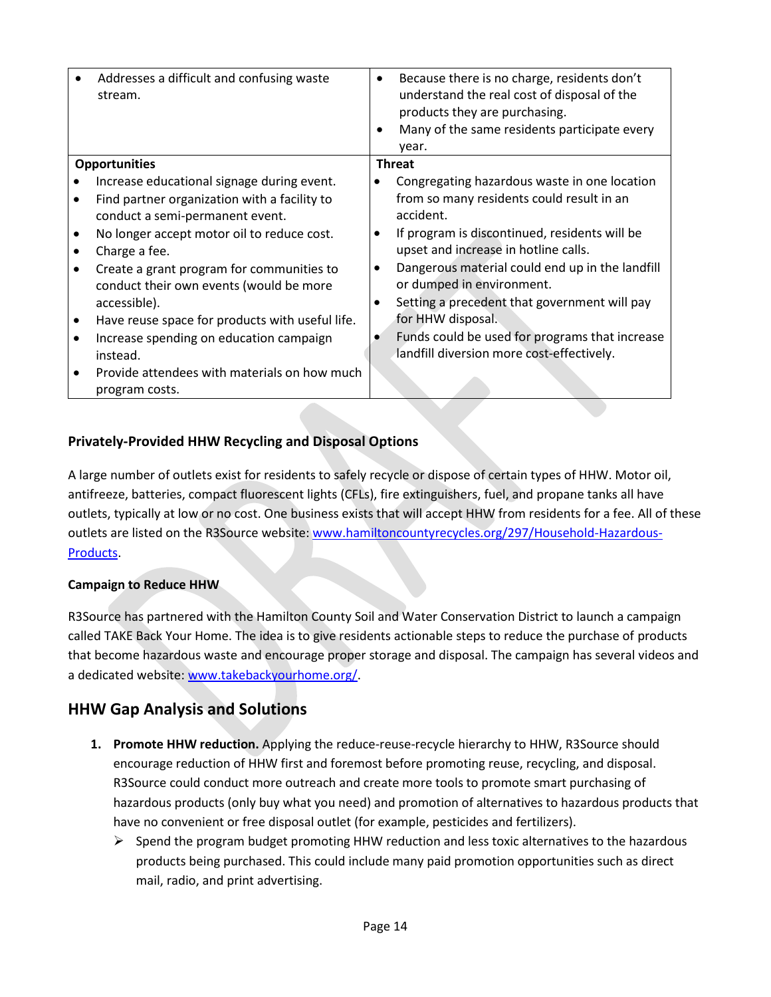|                      | Addresses a difficult and confusing waste<br>stream.                                                 | $\bullet$ | Because there is no charge, residents don't<br>understand the real cost of disposal of the<br>products they are purchasing.<br>Many of the same residents participate every<br>year. |  |  |
|----------------------|------------------------------------------------------------------------------------------------------|-----------|--------------------------------------------------------------------------------------------------------------------------------------------------------------------------------------|--|--|
| <b>Opportunities</b> |                                                                                                      |           | <b>Threat</b>                                                                                                                                                                        |  |  |
|                      | Increase educational signage during event.                                                           |           | Congregating hazardous waste in one location                                                                                                                                         |  |  |
|                      | Find partner organization with a facility to<br>conduct a semi-permanent event.                      |           | from so many residents could result in an<br>accident.                                                                                                                               |  |  |
|                      | No longer accept motor oil to reduce cost.                                                           |           | If program is discontinued, residents will be                                                                                                                                        |  |  |
|                      | Charge a fee.                                                                                        |           | upset and increase in hotline calls.                                                                                                                                                 |  |  |
|                      | Create a grant program for communities to<br>conduct their own events (would be more<br>accessible). | $\bullet$ | Dangerous material could end up in the landfill<br>or dumped in environment.<br>Setting a precedent that government will pay                                                         |  |  |
|                      | Have reuse space for products with useful life.                                                      |           | for HHW disposal.                                                                                                                                                                    |  |  |
|                      | Increase spending on education campaign                                                              |           | Funds could be used for programs that increase                                                                                                                                       |  |  |
|                      | instead.                                                                                             |           | landfill diversion more cost-effectively.                                                                                                                                            |  |  |
|                      | Provide attendees with materials on how much<br>program costs.                                       |           |                                                                                                                                                                                      |  |  |

## **Privately-Provided HHW Recycling and Disposal Options**

A large number of outlets exist for residents to safely recycle or dispose of certain types of HHW. Motor oil, antifreeze, batteries, compact fluorescent lights (CFLs), fire extinguishers, fuel, and propane tanks all have outlets, typically at low or no cost. One business exists that will accept HHW from residents for a fee. All of these outlets are listed on the R3Source website: [www.hamiltoncountyrecycles.org/297/Household-Hazardous-](http://www.hamiltoncountyrecycles.org/297/Household-Hazardous-Products)[Products.](http://www.hamiltoncountyrecycles.org/297/Household-Hazardous-Products)

## **Campaign to Reduce HHW**

R3Source has partnered with the Hamilton County Soil and Water Conservation District to launch a campaign called TAKE Back Your Home. The idea is to give residents actionable steps to reduce the purchase of products that become hazardous waste and encourage proper storage and disposal. The campaign has several videos and a dedicated website: [www.takebackyourhome.org/.](http://www.takebackyourhome.org/)

## **HHW Gap Analysis and Solutions**

- **1. Promote HHW reduction.** Applying the reduce-reuse-recycle hierarchy to HHW, R3Source should encourage reduction of HHW first and foremost before promoting reuse, recycling, and disposal. R3Source could conduct more outreach and create more tools to promote smart purchasing of hazardous products (only buy what you need) and promotion of alternatives to hazardous products that have no convenient or free disposal outlet (for example, pesticides and fertilizers).
	- $\triangleright$  Spend the program budget promoting HHW reduction and less toxic alternatives to the hazardous products being purchased. This could include many paid promotion opportunities such as direct mail, radio, and print advertising.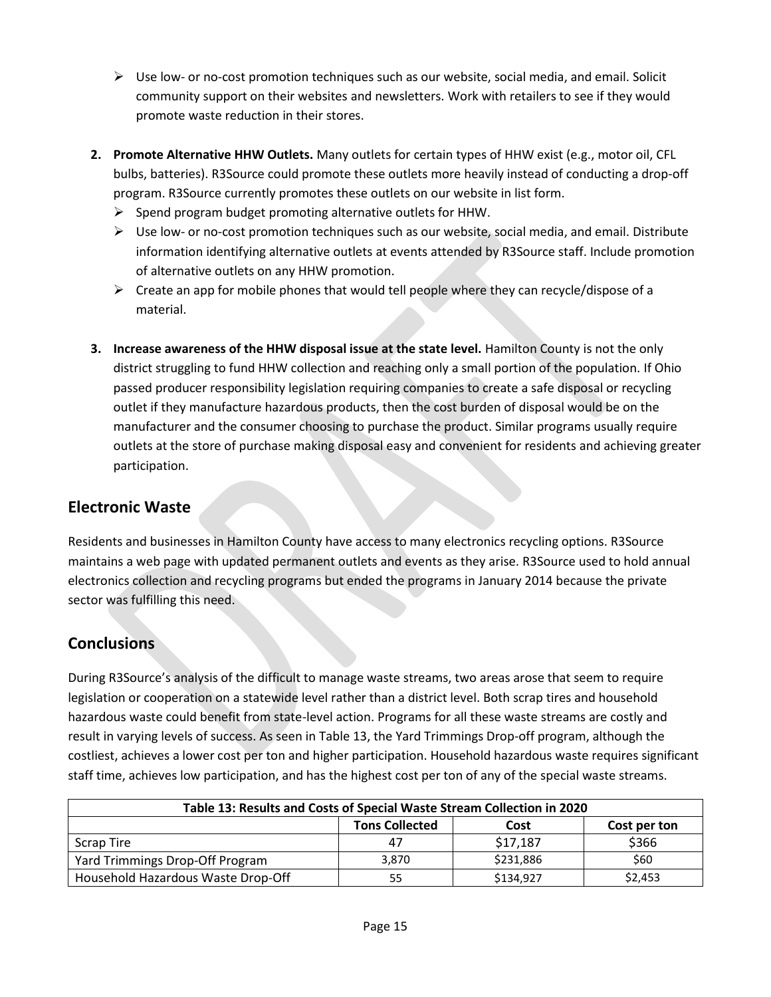- $\triangleright$  Use low- or no-cost promotion techniques such as our website, social media, and email. Solicit community support on their websites and newsletters. Work with retailers to see if they would promote waste reduction in their stores.
- **2. Promote Alternative HHW Outlets.** Many outlets for certain types of HHW exist (e.g., motor oil, CFL bulbs, batteries). R3Source could promote these outlets more heavily instead of conducting a drop-off program. R3Source currently promotes these outlets on our website in list form.
	- $\triangleright$  Spend program budget promoting alternative outlets for HHW.
	- $\triangleright$  Use low- or no-cost promotion techniques such as our website, social media, and email. Distribute information identifying alternative outlets at events attended by R3Source staff. Include promotion of alternative outlets on any HHW promotion.
	- ➢ Create an app for mobile phones that would tell people where they can recycle/dispose of a material.
- **3. Increase awareness of the HHW disposal issue at the state level.** Hamilton County is not the only district struggling to fund HHW collection and reaching only a small portion of the population. If Ohio passed producer responsibility legislation requiring companies to create a safe disposal or recycling outlet if they manufacture hazardous products, then the cost burden of disposal would be on the manufacturer and the consumer choosing to purchase the product. Similar programs usually require outlets at the store of purchase making disposal easy and convenient for residents and achieving greater participation.

# **Electronic Waste**

Residents and businesses in Hamilton County have access to many electronics recycling options. R3Source maintains a web page with updated permanent outlets and events as they arise. R3Source used to hold annual electronics collection and recycling programs but ended the programs in January 2014 because the private sector was fulfilling this need.

# **Conclusions**

During R3Source's analysis of the difficult to manage waste streams, two areas arose that seem to require legislation or cooperation on a statewide level rather than a district level. Both scrap tires and household hazardous waste could benefit from state-level action. Programs for all these waste streams are costly and result in varying levels of success. As seen in Table 13, the Yard Trimmings Drop-off program, although the costliest, achieves a lower cost per ton and higher participation. Household hazardous waste requires significant staff time, achieves low participation, and has the highest cost per ton of any of the special waste streams.

| Table 13: Results and Costs of Special Waste Stream Collection in 2020 |                       |           |              |  |  |  |
|------------------------------------------------------------------------|-----------------------|-----------|--------------|--|--|--|
|                                                                        | <b>Tons Collected</b> | Cost      | Cost per ton |  |  |  |
| Scrap Tire                                                             | 47                    | \$17,187  | \$366        |  |  |  |
| Yard Trimmings Drop-Off Program                                        | 3,870                 | \$231,886 | \$60         |  |  |  |
| Household Hazardous Waste Drop-Off                                     | 55                    | \$134,927 | \$2,453      |  |  |  |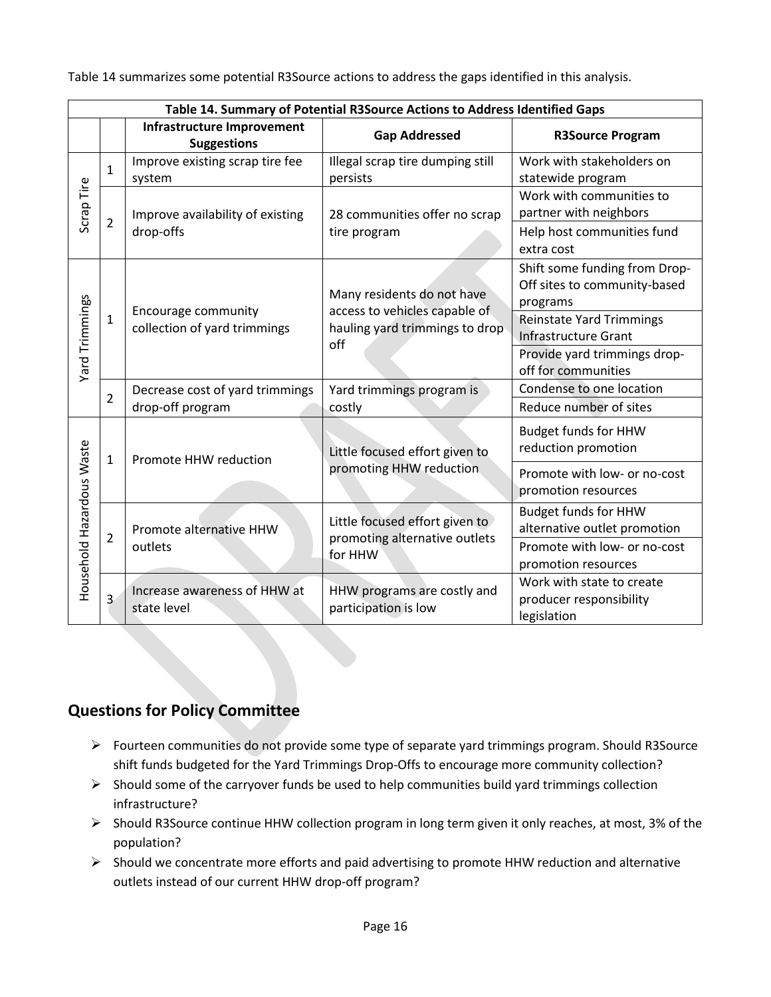Table 14 summarizes some potential R3Source actions to address the gaps identified in this analysis.

|                           | Table 14. Summary of Potential R3Source Actions to Address Identified Gaps |                                                         |                                                                        |                                                                           |  |  |  |
|---------------------------|----------------------------------------------------------------------------|---------------------------------------------------------|------------------------------------------------------------------------|---------------------------------------------------------------------------|--|--|--|
|                           |                                                                            | <b>Infrastructure Improvement</b><br><b>Suggestions</b> | <b>Gap Addressed</b>                                                   | <b>R3Source Program</b>                                                   |  |  |  |
|                           | $\mathbf{1}$                                                               | Improve existing scrap tire fee<br>system               | Illegal scrap tire dumping still<br>persists                           | Work with stakeholders on<br>statewide program                            |  |  |  |
| Scrap Tire                |                                                                            | Improve availability of existing<br>drop-offs           | 28 communities offer no scrap                                          | Work with communities to<br>partner with neighbors                        |  |  |  |
|                           | $\overline{2}$                                                             |                                                         | tire program                                                           | Help host communities fund<br>extra cost                                  |  |  |  |
|                           | 1                                                                          | Encourage community<br>collection of yard trimmings     | Many residents do not have                                             | Shift some funding from Drop-<br>Off sites to community-based<br>programs |  |  |  |
|                           |                                                                            |                                                         | access to vehicles capable of<br>hauling yard trimmings to drop<br>off | <b>Reinstate Yard Trimmings</b><br><b>Infrastructure Grant</b>            |  |  |  |
| Yard Trimmings            |                                                                            |                                                         |                                                                        | Provide yard trimmings drop-<br>off for communities                       |  |  |  |
|                           | $\overline{2}$                                                             | Decrease cost of yard trimmings                         | Yard trimmings program is                                              | Condense to one location                                                  |  |  |  |
|                           |                                                                            | drop-off program                                        | costly                                                                 | Reduce number of sites                                                    |  |  |  |
|                           | 1                                                                          | Promote HHW reduction                                   | Little focused effort given to<br>promoting HHW reduction              | <b>Budget funds for HHW</b><br>reduction promotion                        |  |  |  |
| Household Hazardous Waste |                                                                            |                                                         |                                                                        | Promote with low- or no-cost<br>promotion resources                       |  |  |  |
|                           | $\overline{2}$                                                             | Promote alternative HHW<br>outlets                      | Little focused effort given to                                         | <b>Budget funds for HHW</b><br>alternative outlet promotion               |  |  |  |
|                           |                                                                            |                                                         | promoting alternative outlets<br>for HHW                               | Promote with low- or no-cost<br>promotion resources                       |  |  |  |
|                           | $\overline{3}$                                                             | Increase awareness of HHW at<br>state level             | HHW programs are costly and<br>participation is low                    | Work with state to create<br>producer responsibility<br>legislation       |  |  |  |

# **Questions for Policy Committee**

- ➢ Fourteen communities do not provide some type of separate yard trimmings program. Should R3Source shift funds budgeted for the Yard Trimmings Drop-Offs to encourage more community collection?
- $\triangleright$  Should some of the carryover funds be used to help communities build yard trimmings collection infrastructure?
- ➢ Should R3Source continue HHW collection program in long term given it only reaches, at most, 3% of the population?
- ➢ Should we concentrate more efforts and paid advertising to promote HHW reduction and alternative outlets instead of our current HHW drop-off program?